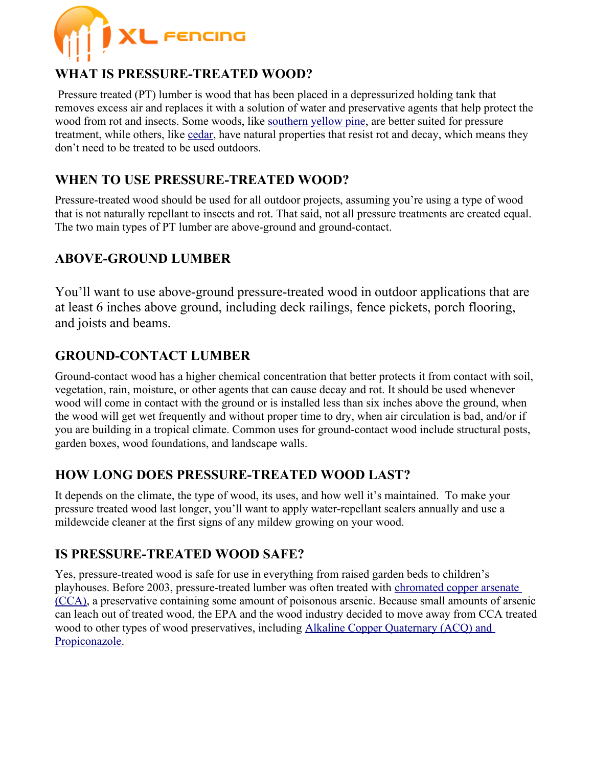

# **WHAT IS PRESSURE-TREATED WOOD?**

Pressure treated (PT) lumber is wood that has been placed in a depressurized holding tank that removes excess air and replaces it with a solution of water and preservative agents that help protect the wood from rot and insects. Some woods, like [southern yellow pine,](https://www.lumber.com/blog/southern-yellow-pine-facts-grades-uses-industry-insights) are better suited for pressure treatment, while others, like [cedar,](https://www.lumber.com/blog/cedar-wood-facts-grades-uses-industry-insights) have natural properties that resist rot and decay, which means they don't need to be treated to be used outdoors.

# **WHEN TO USE PRESSURE-TREATED WOOD?**

Pressure-treated wood should be used for all outdoor projects, assuming you're using a type of wood that is not naturally repellant to insects and rot. That said, not all pressure treatments are created equal. The two main types of PT lumber are above-ground and ground-contact.

### **ABOVE-GROUND LUMBER**

You'll want to use above-ground pressure-treated wood in outdoor applications that are at least 6 inches above ground, including deck railings, fence pickets, porch flooring, and joists and beams.

## **GROUND-CONTACT LUMBER**

Ground-contact wood has a higher chemical concentration that better protects it from contact with soil, vegetation, rain, moisture, or other agents that can cause decay and rot. It should be used whenever wood will come in contact with the ground or is installed less than six inches above the ground, when the wood will get wet frequently and without proper time to dry, when air circulation is bad, and/or if you are building in a tropical climate. Common uses for ground-contact wood include structural posts, garden boxes, wood foundations, and landscape walls.

### **HOW LONG DOES PRESSURE-TREATED WOOD LAST?**

It depends on the climate, the type of wood, its uses, and how well it's maintained. To make your pressure treated wood last longer, you'll want to apply water-repellant sealers annually and use a mildewcide cleaner at the first signs of any mildew growing on your wood.

#### **IS PRESSURE-TREATED WOOD SAFE?**

Yes, pressure-treated wood is safe for use in everything from raised garden beds to children's playhouses. Before 2003, pressure-treated lumber was often treated with [chromated copper arsenate](https://www.epa.gov/ingredients-used-pesticide-products/chromated-arsenicals-cca)  [\(CCA\),](https://www.epa.gov/ingredients-used-pesticide-products/chromated-arsenicals-cca) a preservative containing some amount of poisonous arsenic. Because small amounts of arsenic can leach out of treated wood, the EPA and the wood industry decided to move away from CCA treated wood to other types of wood preservatives, including Alkaline Copper Quaternary (ACQ) and [Propiconazole.](https://www.epa.gov/ingredients-used-pesticide-products/overview-wood-preservative-chemicals)